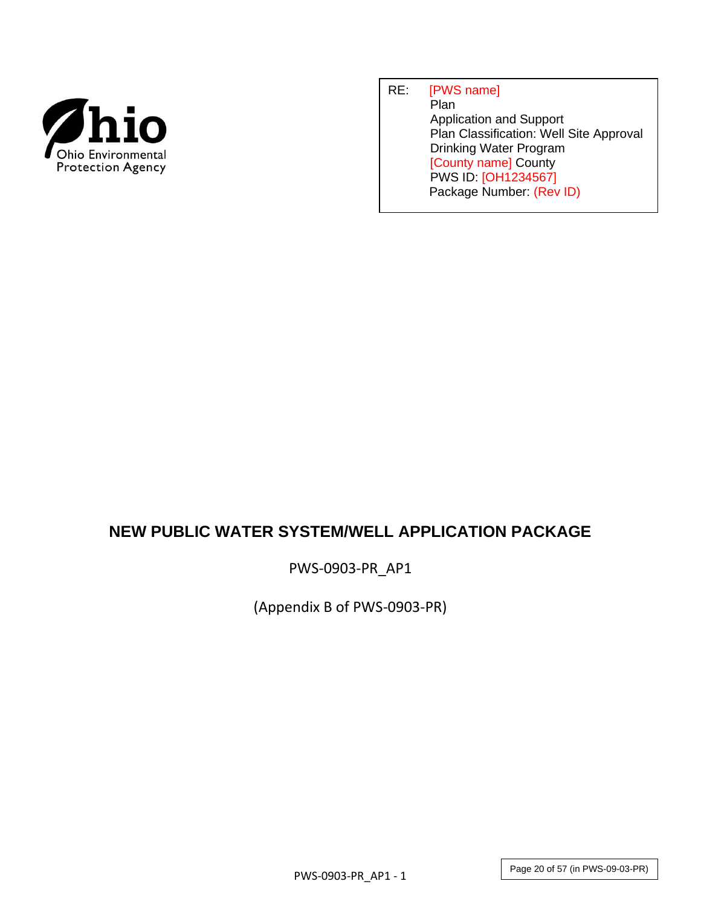

## RE: [PWS name] **Plan**  Application and Support Plan Classification: Well Site Approval Drinking Water Program [County name] County PWS ID: [OH1234567] Package Number: (Rev ID)

# **NEW PUBLIC WATER SYSTEM/WELL APPLICATION PACKAGE**

PWS-0903-PR\_AP1

(Appendix B of PWS-0903-PR)

Page 20 of 57 (in PWS-09-03-PR)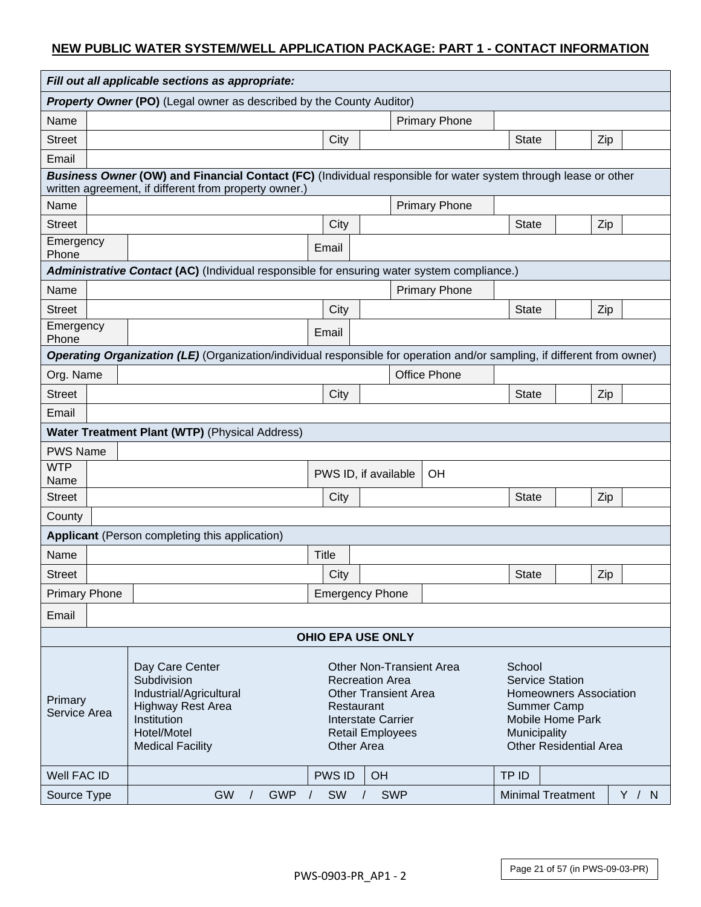#### **NEW PUBLIC WATER SYSTEM/WELL APPLICATION PACKAGE: PART 1 - CONTACT INFORMATION**

|                                                                                                                                                                                                                                                                                                                                                           | Fill out all applicable sections as appropriate:                                                                                                                        |                                                                                            |              |                        |                        |                                                                                                                             |                      |              |                          |     |       |
|-----------------------------------------------------------------------------------------------------------------------------------------------------------------------------------------------------------------------------------------------------------------------------------------------------------------------------------------------------------|-------------------------------------------------------------------------------------------------------------------------------------------------------------------------|--------------------------------------------------------------------------------------------|--------------|------------------------|------------------------|-----------------------------------------------------------------------------------------------------------------------------|----------------------|--------------|--------------------------|-----|-------|
| <b>Property Owner (PO)</b> (Legal owner as described by the County Auditor)                                                                                                                                                                                                                                                                               |                                                                                                                                                                         |                                                                                            |              |                        |                        |                                                                                                                             |                      |              |                          |     |       |
| Name                                                                                                                                                                                                                                                                                                                                                      |                                                                                                                                                                         |                                                                                            |              |                        |                        |                                                                                                                             | <b>Primary Phone</b> |              |                          |     |       |
| <b>Street</b>                                                                                                                                                                                                                                                                                                                                             |                                                                                                                                                                         |                                                                                            |              | City                   |                        |                                                                                                                             |                      | <b>State</b> |                          | Zip |       |
| Email                                                                                                                                                                                                                                                                                                                                                     |                                                                                                                                                                         |                                                                                            |              |                        |                        |                                                                                                                             |                      |              |                          |     |       |
|                                                                                                                                                                                                                                                                                                                                                           | Business Owner (OW) and Financial Contact (FC) (Individual responsible for water system through lease or other<br>written agreement, if different from property owner.) |                                                                                            |              |                        |                        |                                                                                                                             |                      |              |                          |     |       |
| Name                                                                                                                                                                                                                                                                                                                                                      |                                                                                                                                                                         |                                                                                            |              |                        |                        |                                                                                                                             | <b>Primary Phone</b> |              |                          |     |       |
| <b>Street</b>                                                                                                                                                                                                                                                                                                                                             |                                                                                                                                                                         |                                                                                            |              | City                   |                        |                                                                                                                             |                      | <b>State</b> |                          | Zip |       |
| Emergency<br>Phone                                                                                                                                                                                                                                                                                                                                        |                                                                                                                                                                         |                                                                                            |              | Email                  |                        |                                                                                                                             |                      |              |                          |     |       |
|                                                                                                                                                                                                                                                                                                                                                           |                                                                                                                                                                         | Administrative Contact (AC) (Individual responsible for ensuring water system compliance.) |              |                        |                        |                                                                                                                             |                      |              |                          |     |       |
| Name                                                                                                                                                                                                                                                                                                                                                      |                                                                                                                                                                         |                                                                                            |              |                        |                        |                                                                                                                             | <b>Primary Phone</b> |              |                          |     |       |
| <b>Street</b>                                                                                                                                                                                                                                                                                                                                             |                                                                                                                                                                         |                                                                                            |              | City                   |                        |                                                                                                                             |                      | <b>State</b> |                          | Zip |       |
| Emergency<br>Phone                                                                                                                                                                                                                                                                                                                                        |                                                                                                                                                                         |                                                                                            |              | Email                  |                        |                                                                                                                             |                      |              |                          |     |       |
| Operating Organization (LE) (Organization/individual responsible for operation and/or sampling, if different from owner)                                                                                                                                                                                                                                  |                                                                                                                                                                         |                                                                                            |              |                        |                        |                                                                                                                             |                      |              |                          |     |       |
| Org. Name                                                                                                                                                                                                                                                                                                                                                 |                                                                                                                                                                         |                                                                                            |              |                        |                        |                                                                                                                             | <b>Office Phone</b>  |              |                          |     |       |
| <b>Street</b>                                                                                                                                                                                                                                                                                                                                             |                                                                                                                                                                         |                                                                                            |              | City                   |                        |                                                                                                                             | <b>State</b>         |              | Zip                      |     |       |
| Email                                                                                                                                                                                                                                                                                                                                                     |                                                                                                                                                                         |                                                                                            |              |                        |                        |                                                                                                                             |                      |              |                          |     |       |
|                                                                                                                                                                                                                                                                                                                                                           |                                                                                                                                                                         | Water Treatment Plant (WTP) (Physical Address)                                             |              |                        |                        |                                                                                                                             |                      |              |                          |     |       |
| <b>PWS Name</b>                                                                                                                                                                                                                                                                                                                                           |                                                                                                                                                                         |                                                                                            |              |                        |                        |                                                                                                                             |                      |              |                          |     |       |
| <b>WTP</b><br>Name                                                                                                                                                                                                                                                                                                                                        |                                                                                                                                                                         |                                                                                            |              | PWS ID, if available   |                        |                                                                                                                             | OH                   |              |                          |     |       |
| <b>Street</b>                                                                                                                                                                                                                                                                                                                                             |                                                                                                                                                                         |                                                                                            |              | City                   |                        |                                                                                                                             |                      | <b>State</b> |                          | Zip |       |
| County                                                                                                                                                                                                                                                                                                                                                    |                                                                                                                                                                         |                                                                                            |              |                        |                        |                                                                                                                             |                      |              |                          |     |       |
|                                                                                                                                                                                                                                                                                                                                                           |                                                                                                                                                                         | Applicant (Person completing this application)                                             |              |                        |                        |                                                                                                                             |                      |              |                          |     |       |
| Name                                                                                                                                                                                                                                                                                                                                                      |                                                                                                                                                                         |                                                                                            | <b>Title</b> |                        |                        |                                                                                                                             |                      |              |                          |     |       |
| <b>Street</b>                                                                                                                                                                                                                                                                                                                                             |                                                                                                                                                                         |                                                                                            |              | City                   |                        |                                                                                                                             |                      | <b>State</b> |                          | Zip |       |
| <b>Primary Phone</b>                                                                                                                                                                                                                                                                                                                                      |                                                                                                                                                                         |                                                                                            |              | <b>Emergency Phone</b> |                        |                                                                                                                             |                      |              |                          |     |       |
| Email                                                                                                                                                                                                                                                                                                                                                     |                                                                                                                                                                         |                                                                                            |              |                        |                        |                                                                                                                             |                      |              |                          |     |       |
| <b>OHIO EPA USE ONLY</b>                                                                                                                                                                                                                                                                                                                                  |                                                                                                                                                                         |                                                                                            |              |                        |                        |                                                                                                                             |                      |              |                          |     |       |
| Day Care Center<br><b>Other Non-Transient Area</b><br>Subdivision<br><b>Recreation Area</b><br>Industrial/Agricultural<br><b>Other Transient Area</b><br>Primary<br><b>Highway Rest Area</b><br>Restaurant<br>Service Area<br>Institution<br><b>Interstate Carrier</b><br>Hotel/Motel<br><b>Retail Employees</b><br><b>Medical Facility</b><br>Other Area |                                                                                                                                                                         |                                                                                            |              |                        | School<br>Municipality | <b>Service Station</b><br><b>Homeowners Association</b><br>Summer Camp<br>Mobile Home Park<br><b>Other Residential Area</b> |                      |              |                          |     |       |
| Well FAC ID                                                                                                                                                                                                                                                                                                                                               |                                                                                                                                                                         |                                                                                            |              | <b>PWS ID</b>          | OH                     |                                                                                                                             |                      | TP ID        |                          |     |       |
| Source Type                                                                                                                                                                                                                                                                                                                                               |                                                                                                                                                                         | GW<br><b>GWP</b>                                                                           | $\sqrt{ }$   | <b>SW</b>              |                        | <b>SWP</b>                                                                                                                  |                      |              | <b>Minimal Treatment</b> |     | Y / N |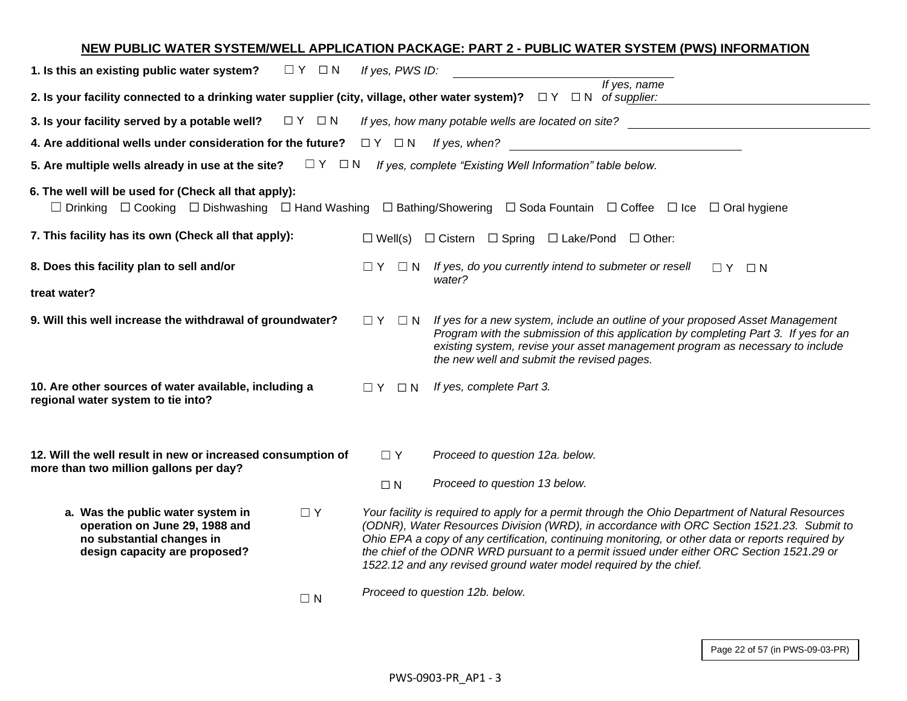## **NEW PUBLIC WATER SYSTEM/WELL APPLICATION PACKAGE: PART 2 - PUBLIC WATER SYSTEM (PWS) INFORMATION 1. Is this an existing public water system?**  $□ Y □ N *If yes, PWS ID:*$ **2. Is your facility connected to a drinking water supplier (city, village, other water system)?** ☐ Y ☐ N *of supplier: If yes, name*  **3. Is your facility served by a potable well?** ☐ Y ☐ N *If yes, how many potable wells are located on site?*  **4. Are additional wells under consideration for the future?**  $□ Y □ N$  *If yes, when?* **5. Are multiple wells already in use at the site?** ☐ Y ☐ N *If yes, complete "Existing Well Information" table below.* **6. The well will be used for (Check all that apply):**  ☐ Drinking ☐ Cooking ☐ Dishwashing ☐ Hand Washing ☐ Bathing/Showering ☐ Soda Fountain ☐ Coffee ☐ Ice ☐ Oral hygiene **7. This facility has its own (Check all that apply):** □ □ Well(s) □ Cistern □ Spring □ Lake/Pond □ Other: **8. Does this facility plan to sell and/or treat water?** ☐ Y ☐ N *If yes, do you currently intend to submeter or resell water?*   $\Box Y$   $\Box N$ **9. Will this well increase the withdrawal of groundwater?** □ Y □ N *If yes for a new system, include an outline of your proposed Asset Management Program with the submission of this application by completing Part 3. If yes for an existing system, revise your asset management program as necessary to include the new well and submit the revised pages.* **10. Are other sources of water available, including a regional water system to tie into?** ☐ Y ☐ N *If yes, complete Part 3.* **12. Will the well result in new or increased consumption of more than two million gallons per day?** ☐ Y *Proceed to question 12a. below.*  ☐ N *Proceed to question 13 below.* **a. Was the public water system in operation on June 29, 1988 and no substantial changes in design capacity are proposed?** ☐ Y *Your facility is required to apply for a permit through the Ohio Department of Natural Resources (ODNR), Water Resources Division (WRD), in accordance with ORC Section 1521.23. Submit to Ohio EPA a copy of any certification, continuing monitoring, or other data or reports required by the chief of the ODNR WRD pursuant to a permit issued under either ORC Section 1521.29 or 1522.12 and any revised ground water model required by the chief.*  $\Box N$ *Proceed to question 12b. below.*

Page 22 of 57 (in PWS-09-03-PR)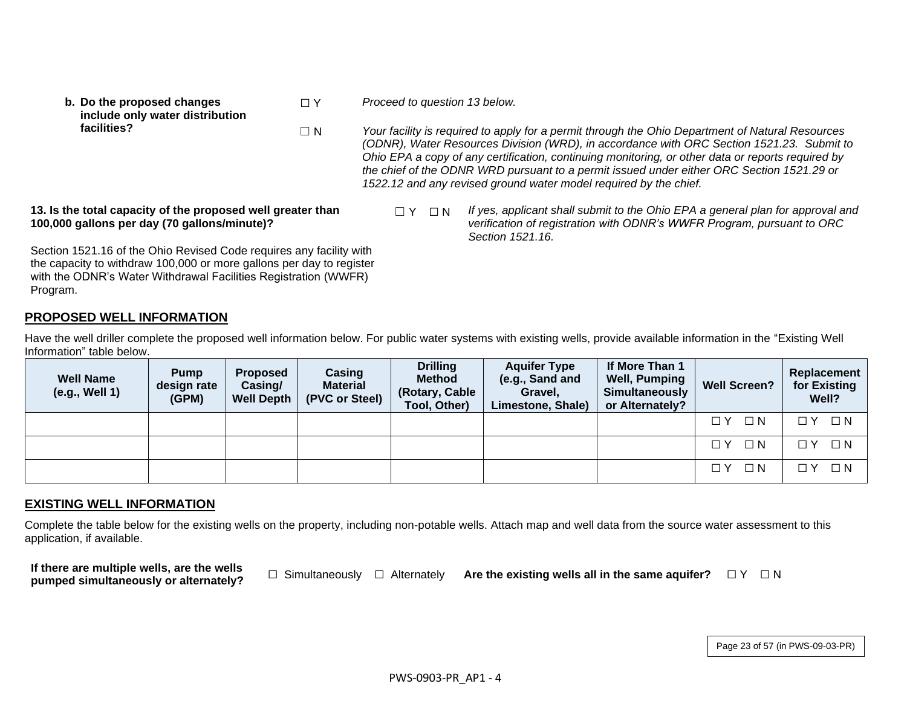**b. Do the proposed changes include only water distribution facilities?**

☐ Y *Proceed to question 13 below.*

☐ N *Your facility is required to apply for a permit through the Ohio Department of Natural Resources (ODNR), Water Resources Division (WRD), in accordance with ORC Section 1521.23. Submit to Ohio EPA a copy of any certification, continuing monitoring, or other data or reports required by the chief of the ODNR WRD pursuant to a permit issued under either ORC Section 1521.29 or 1522.12 and any revised ground water model required by the chief.*

**13. Is the total capacity of the proposed well greater than 100,000 gallons per day (70 gallons/minute)?** 

☐ Y ☐ N *If yes, applicant shall submit to the Ohio EPA a general plan for approval and verification of registration with ODNR's WWFR Program, pursuant to ORC Section 1521.16.*

Section 1521.16 of the Ohio Revised Code requires any facility with the capacity to withdraw 100,000 or more gallons per day to register with the ODNR's Water Withdrawal Facilities Registration (WWFR) Program.

# **PROPOSED WELL INFORMATION**

Have the well driller complete the proposed well information below. For public water systems with existing wells, provide available information in the "Existing Well Information" table below.

| <b>Well Name</b><br>(e.g., Well 1) | <b>Pump</b><br>design rate<br>(GPM) | <b>Proposed</b><br>Casing/<br><b>Well Depth</b> | Casing<br><b>Material</b><br>(PVC or Steel) | <b>Drilling</b><br><b>Method</b><br>(Rotary, Cable<br>Tool, Other) | <b>Aquifer Type</b><br>(e.g., Sand and<br>Gravel,<br>Limestone, Shale) | If More Than 1<br><b>Well, Pumping</b><br>Simultaneously<br>or Alternately? | <b>Well Screen?</b>    | Replacement<br>for Existing<br>Well? |
|------------------------------------|-------------------------------------|-------------------------------------------------|---------------------------------------------|--------------------------------------------------------------------|------------------------------------------------------------------------|-----------------------------------------------------------------------------|------------------------|--------------------------------------|
|                                    |                                     |                                                 |                                             |                                                                    |                                                                        |                                                                             | $\Box$ N<br>$\sqcap$ Y | $\Box$ N<br>7 Y                      |
|                                    |                                     |                                                 |                                             |                                                                    |                                                                        |                                                                             | $\Box$ N<br>ΠY         | $\Box$ N<br>⊓ Y                      |
|                                    |                                     |                                                 |                                             |                                                                    |                                                                        |                                                                             | $\Box$ N<br>ПY         | $\Box$ N<br>□ ∨                      |

## **EXISTING WELL INFORMATION**

Complete the table below for the existing wells on the property, including non-potable wells. Attach map and well data from the source water assessment to this application, if available.

**If there are multiple wells, are the wells** 

**pumped simultaneously or alternately?** □ Simultaneously □ Alternately **Are the existing wells all in the same aquifer?** □ Y □ N

Page 23 of 57 (in PWS-09-03-PR)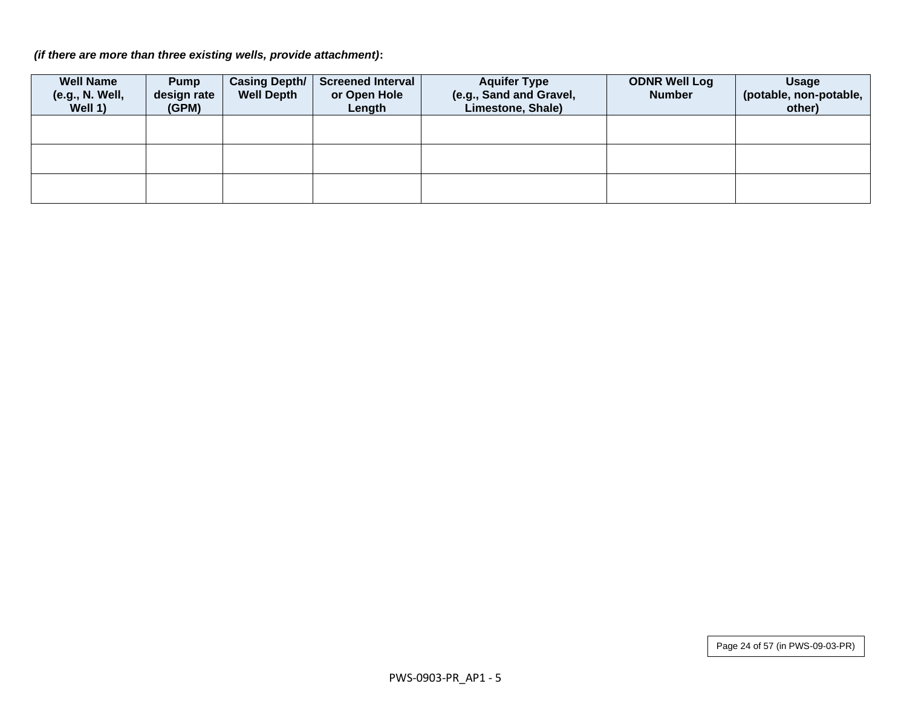*(if there are more than three existing wells, provide attachment)***:**

| <b>Well Name</b><br>(e.g., N. Well,<br>Well 1) | <b>Pump</b><br>design rate<br>(GPM) | <b>Casing Depth/</b><br><b>Well Depth</b> | Screened Interval<br>or Open Hole<br>Length | <b>Aquifer Type</b><br>(e.g., Sand and Gravel,<br>Limestone, Shale) | <b>ODNR Well Log</b><br><b>Number</b> | <b>Usage</b><br>(potable, non-potable,<br>other) |
|------------------------------------------------|-------------------------------------|-------------------------------------------|---------------------------------------------|---------------------------------------------------------------------|---------------------------------------|--------------------------------------------------|
|                                                |                                     |                                           |                                             |                                                                     |                                       |                                                  |
|                                                |                                     |                                           |                                             |                                                                     |                                       |                                                  |
|                                                |                                     |                                           |                                             |                                                                     |                                       |                                                  |

Page 24 of 57 (in PWS-09-03-PR)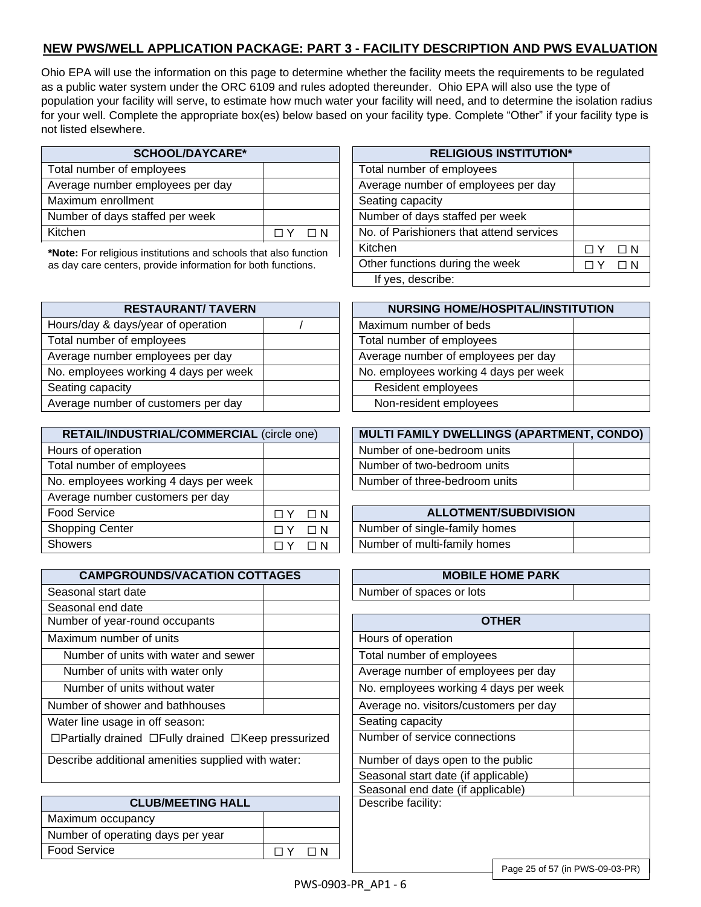## **NEW PWS/WELL APPLICATION PACKAGE: PART 3 - FACILITY DESCRIPTION AND PWS EVALUATION**

Ohio EPA will use the information on this page to determine whether the facility meets the requirements to be regulated as a public water system under the ORC 6109 and rules adopted thereunder. Ohio EPA will also use the type of population your facility will serve, to estimate how much water your facility will need, and to determine the isolation radius for your well. Complete the appropriate box(es) below based on your facility type. Complete "Other" if your facility type is not listed elsewhere.

| <b>SCHOOL/DAYCARE*</b>           |            | <b>RELIGIOUS INSTITUTIO</b>              |
|----------------------------------|------------|------------------------------------------|
| Total number of employees        |            | Total number of employees                |
| Average number employees per day |            | Average number of employees per day      |
| Maximum enrollment               |            | Seating capacity                         |
| Number of days staffed per week  |            | Number of days staffed per week          |
| Kitchen                          | $\sqcap$ N | No. of Parishioners that attend services |

**\*Note:** For religious institutions and schools that also function as day care centers, provide information for both functions.

| <b>RESTAURANT/ TAVERN</b>             | <b>NURSING HOME/HOSPITAL/INS'</b>     |
|---------------------------------------|---------------------------------------|
| Hours/day & days/year of operation    | Maximum number of beds                |
| Total number of employees             | Total number of employees             |
| Average number employees per day      | Average number of employees per day   |
| No. employees working 4 days per week | No. employees working 4 days per week |
| Seating capacity                      | Resident employees                    |
| Average number of customers per day   | Non-resident employees                |

| RETAIL/INDUSTRIAL/COMMERCIAL (circle one) |    |          | <b>MULTI FAMILY DWELLINGS (APARTME</b> |
|-------------------------------------------|----|----------|----------------------------------------|
| Hours of operation                        |    |          | Number of one-bedroom units            |
| Total number of employees                 |    |          | Number of two-bedroom units            |
| No. employees working 4 days per week     |    |          | Number of three-bedroom units          |
| Average number customers per day          |    |          |                                        |
| <b>Food Service</b>                       | ΠY | $\Box N$ | <b>ALLOTMENT/SUBDIVISION</b>           |
| <b>Shopping Center</b>                    |    | $\Box N$ | Number of single-family homes          |
| Showers                                   |    | ΠN       | Number of multi-family homes           |

| <b>CAMPGROUNDS/VACATION COTTAGES</b>                                  | <b>MOBILE HOME PARK</b>                |
|-----------------------------------------------------------------------|----------------------------------------|
| Seasonal start date                                                   | Number of spaces or lots               |
| Seasonal end date                                                     |                                        |
| Number of year-round occupants                                        | <b>OTHER</b>                           |
| Maximum number of units                                               | Hours of operation                     |
| Number of units with water and sewer                                  | Total number of employees              |
| Number of units with water only                                       | Average number of employees per day    |
| Number of units without water                                         | No. employees working 4 days per week  |
| Number of shower and bathhouses                                       | Average no. visitors/customers per day |
| Water line usage in off season:                                       | Seating capacity                       |
| $\Box$ Partially drained $\Box$ Fully drained $\Box$ Keep pressurized | Number of service connections          |
| Describe additional amenities supplied with water:                    | Number of days open to the public      |
|                                                                       | Concoral otant data (if applicable)    |

|                                   |                    | oodoona ona ac |
|-----------------------------------|--------------------|----------------|
| <b>CLUB/MEETING HALL</b>          | Describe facility: |                |
| Maximum occupancy                 |                    |                |
| Number of operating days per year |                    |                |
| <b>Food Service</b>               |                    |                |
|                                   |                    |                |

| <b>SCHOOL/DAYCARE*</b>                        |                      | <b>RELIGIOUS INSTITUTION*</b>            |  |          |  |  |
|-----------------------------------------------|----------------------|------------------------------------------|--|----------|--|--|
| employees                                     |                      | Total number of employees                |  |          |  |  |
| employees per day                             |                      | Average number of employees per day      |  |          |  |  |
| nent                                          |                      | Seating capacity                         |  |          |  |  |
| staffed per week                              |                      | Number of days staffed per week          |  |          |  |  |
|                                               | $\Box N$<br>$\Box$ Y | No. of Parishioners that attend services |  |          |  |  |
| s institutions and schools that also function |                      | Kitchen                                  |  | $\Box N$ |  |  |
| s, provide information for both functions.    |                      | Other functions during the week          |  | $\Box N$ |  |  |
|                                               |                      | If yes, describe:                        |  |          |  |  |

| <b>RESTAURANT/ TAVERN</b> | <b>NURSING HOME/HOSPITAL/INSTITUTION</b> |  |  |  |
|---------------------------|------------------------------------------|--|--|--|
| ys/year of operation      | Maximum number of beds                   |  |  |  |
| f employees               | Total number of employees                |  |  |  |
| er employees per day      | Average number of employees per day      |  |  |  |
| working 4 days per week   | No. employees working 4 days per week    |  |  |  |
|                           | Resident employees                       |  |  |  |
| er of customers per day   | Non-resident employees                   |  |  |  |

| RETAIL/INDUSTRIAL/COMMERCIAL (circle one) | <b>MULTI FAMILY DWELLINGS (APARTMENT, CONDO)</b> |  |  |  |  |
|-------------------------------------------|--------------------------------------------------|--|--|--|--|
| urs of operation                          | Number of one-bedroom units                      |  |  |  |  |
| tal number of employees                   | Number of two-bedroom units                      |  |  |  |  |
| employees working 4 days per week         | Number of three-bedroom units                    |  |  |  |  |

| <b>ALLOTMENT/SUBDIVISION</b>  |  |  |  |  |
|-------------------------------|--|--|--|--|
| Number of single-family homes |  |  |  |  |
| Number of multi-family homes  |  |  |  |  |

| <b>MOBILE HOME PARK</b>  |  |
|--------------------------|--|
| Number of spaces or lots |  |

| HFR                                    |  |
|----------------------------------------|--|
| Hours of operation                     |  |
| Total number of employees              |  |
| Average number of employees per day    |  |
| No. employees working 4 days per week  |  |
| Average no. visitors/customers per day |  |
| Seating capacity                       |  |
| Number of service connections          |  |
| Number of days open to the public      |  |
| Seasonal start date (if applicable)    |  |
| Seasonal end date (if applicable)      |  |
| Describe facility:                     |  |
|                                        |  |
|                                        |  |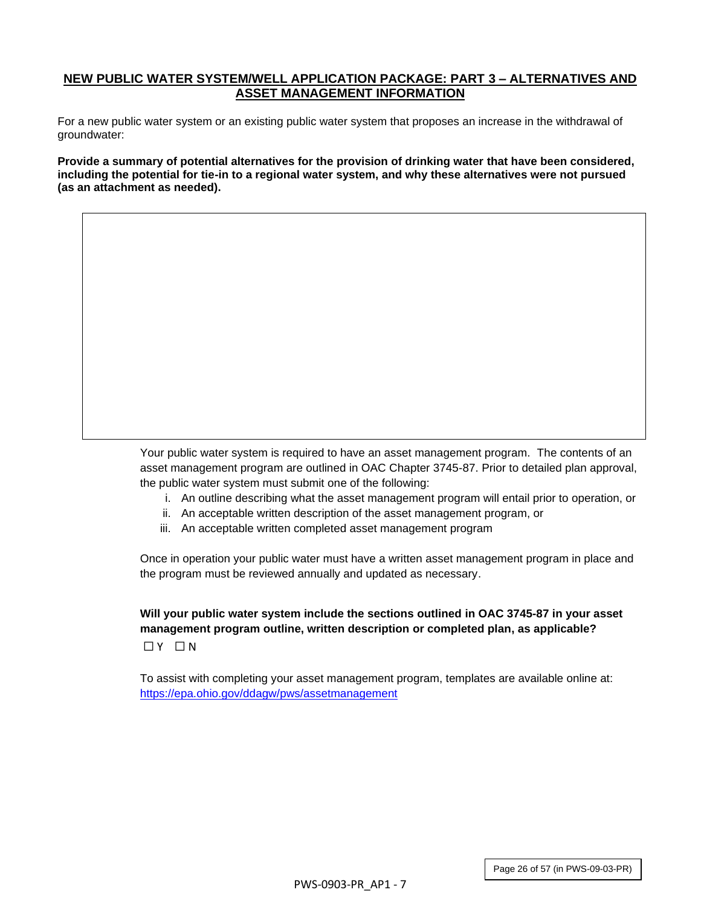#### **NEW PUBLIC WATER SYSTEM/WELL APPLICATION PACKAGE: PART 3 – ALTERNATIVES AND ASSET MANAGEMENT INFORMATION**

For a new public water system or an existing public water system that proposes an increase in the withdrawal of groundwater:

**Provide a summary of potential alternatives for the provision of drinking water that have been considered, including the potential for tie-in to a regional water system, and why these alternatives were not pursued (as an attachment as needed).** 

> Your public water system is required to have an asset management program. The contents of an asset management program are outlined in OAC Chapter 3745-87. Prior to detailed plan approval, the public water system must submit one of the following:

- i. An outline describing what the asset management program will entail prior to operation, or
- ii. An acceptable written description of the asset management program, or
- iii. An acceptable written completed asset management program

Once in operation your public water must have a written asset management program in place and the program must be reviewed annually and updated as necessary.

**Will your public water system include the sections outlined in OAC 3745-87 in your asset management program outline, written description or completed plan, as applicable?**  $\Box$  Y  $\Box$  N

To assist with completing your asset management program, templates are available online at: <https://epa.ohio.gov/ddagw/pws/assetmanagement>

Page 26 of 57 (in PWS-09-03-PR)